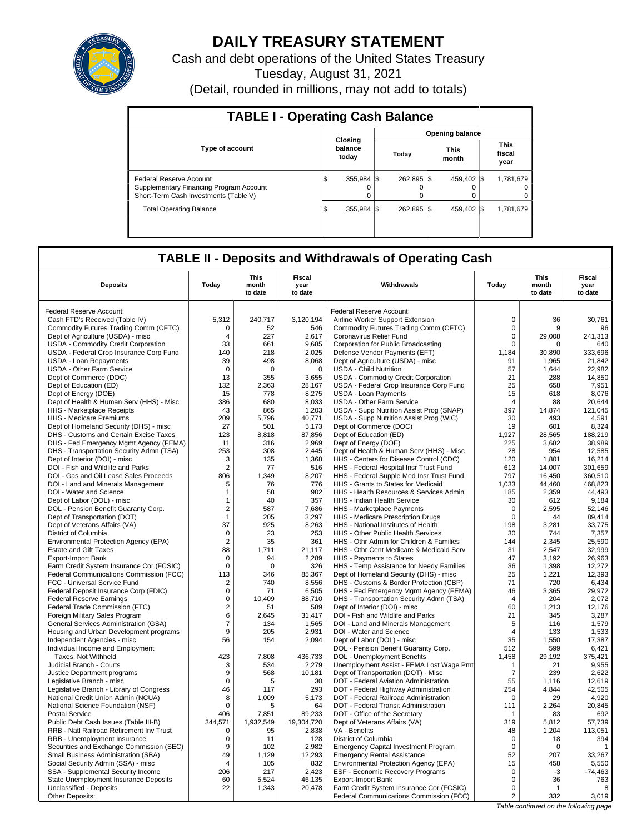

# **DAILY TREASURY STATEMENT**

Cash and debt operations of the United States Treasury Tuesday, August 31, 2021 (Detail, rounded in millions, may not add to totals)

| <b>TABLE I - Operating Cash Balance</b>                                                                     |    |                             |             |                        |                               |
|-------------------------------------------------------------------------------------------------------------|----|-----------------------------|-------------|------------------------|-------------------------------|
|                                                                                                             |    |                             |             | <b>Opening balance</b> |                               |
| <b>Type of account</b>                                                                                      |    | Closing<br>balance<br>today | Today       | <b>This</b><br>month   | <b>This</b><br>fiscal<br>year |
| Federal Reserve Account<br>Supplementary Financing Program Account<br>Short-Term Cash Investments (Table V) | 5  | 355,984 \$<br>o<br>0        | 262.895 \$  | 459.402 \\$            | 1,781,679<br>$^{\circ}$<br>0  |
| <b>Total Operating Balance</b>                                                                              | ıэ | 355.984 \\$                 | 262.895 \\$ | 459.402 \\$            | 1,781,679                     |

# **TABLE II - Deposits and Withdrawals of Operating Cash**

| <b>Deposits</b>                                                           | Today                   | <b>This</b><br>month<br>to date | Fiscal<br>year<br>to date | Withdrawals                                                                      | Today                      | This<br>month<br>to date | Fiscal<br>year<br>to date |
|---------------------------------------------------------------------------|-------------------------|---------------------------------|---------------------------|----------------------------------------------------------------------------------|----------------------------|--------------------------|---------------------------|
| Federal Reserve Account:                                                  |                         |                                 |                           | Federal Reserve Account:                                                         |                            |                          |                           |
| Cash FTD's Received (Table IV)                                            | 5,312                   | 240,717                         | 3,120,194                 | Airline Worker Support Extension                                                 | $\mathbf 0$                | 36                       | 30,761                    |
| Commodity Futures Trading Comm (CFTC)                                     | 0                       | 52                              | 546                       | Commodity Futures Trading Comm (CFTC)                                            | $\mathbf 0$                | 9                        | 96                        |
| Dept of Agriculture (USDA) - misc                                         | 4                       | 227                             | 2,617                     | Coronavirus Relief Fund                                                          | $\mathbf 0$                | 29,008                   | 241,313                   |
| USDA - Commodity Credit Corporation                                       | 33                      | 661                             | 9,685                     | Corporation for Public Broadcasting                                              | 0                          | 0                        | 640                       |
| USDA - Federal Crop Insurance Corp Fund                                   | 140                     | 218                             | 2,025                     | Defense Vendor Payments (EFT)                                                    | 1,184                      | 30,890                   | 333,696                   |
| USDA - Loan Repayments                                                    | 39                      | 498                             | 8,068                     | Dept of Agriculture (USDA) - misc                                                | 91                         | 1,965                    | 21,842                    |
| <b>USDA - Other Farm Service</b>                                          | $\mathbf 0$             | $\mathbf 0$                     | $\mathbf 0$               | <b>USDA - Child Nutrition</b>                                                    | 57                         | 1.644                    | 22,982                    |
| Dept of Commerce (DOC)                                                    | 13                      | 355                             | 3,655                     | USDA - Commodity Credit Corporation                                              | 21                         | 288                      | 14,850                    |
| Dept of Education (ED)                                                    | 132                     | 2,363                           | 28,167                    | USDA - Federal Crop Insurance Corp Fund                                          | 25                         | 658                      | 7,951                     |
| Dept of Energy (DOE)                                                      | 15                      | 778                             | 8,275                     | <b>USDA - Loan Payments</b>                                                      | 15                         | 618                      | 8,076                     |
| Dept of Health & Human Serv (HHS) - Misc                                  | 386                     | 680                             | 8,033                     | USDA - Other Farm Service                                                        | $\overline{4}$             | 88                       | 20,644                    |
| <b>HHS</b> - Marketplace Receipts                                         | 43                      | 865                             | 1,203                     | USDA - Supp Nutrition Assist Prog (SNAP)                                         | 397                        | 14,874                   | 121,045                   |
| HHS - Medicare Premiums                                                   | 209                     | 5,796                           | 40,771                    | USDA - Supp Nutrition Assist Prog (WIC)                                          | 30                         | 493                      | 4,591                     |
| Dept of Homeland Security (DHS) - misc                                    | 27                      | 501                             | 5.173                     | Dept of Commerce (DOC)                                                           | 19                         | 601                      | 8.324                     |
| DHS - Customs and Certain Excise Taxes                                    | 123                     | 8,818                           | 87,856                    | Dept of Education (ED)                                                           | 1,927                      | 28,565                   | 188,219                   |
| DHS - Fed Emergency Mgmt Agency (FEMA)                                    | 11                      | 316                             | 2,969                     | Dept of Energy (DOE)                                                             | 225                        | 3.682                    | 38.989                    |
| DHS - Transportation Security Admn (TSA)                                  | 253                     | 308                             | 2,445                     | Dept of Health & Human Serv (HHS) - Misc                                         | 28                         | 954                      | 12,585                    |
| Dept of Interior (DOI) - misc                                             | 3                       | 135                             | 1,368                     | HHS - Centers for Disease Control (CDC)                                          | 120                        | 1,801                    | 16,214                    |
| DOI - Fish and Wildlife and Parks                                         | $\overline{2}$          | 77                              | 516                       | HHS - Federal Hospital Insr Trust Fund                                           | 613                        | 14,007                   | 301,659                   |
| DOI - Gas and Oil Lease Sales Proceeds                                    | 806                     | 1,349                           | 8,207                     | HHS - Federal Supple Med Insr Trust Fund                                         | 797                        | 16,450                   | 360,510                   |
| DOI - Land and Minerals Management                                        | 5                       | 76                              | 776                       | HHS - Grants to States for Medicaid                                              | 1,033                      | 44,460                   | 468,823                   |
| DOI - Water and Science                                                   | 1                       | 58                              | 902                       | HHS - Health Resources & Services Admin                                          | 185                        | 2,359                    | 44,493                    |
| Dept of Labor (DOL) - misc                                                | $\mathbf{1}$            | 40                              | 357                       | HHS - Indian Health Service                                                      | 30                         | 612                      | 9,184                     |
| DOL - Pension Benefit Guaranty Corp.                                      | $\overline{2}$          | 587                             | 7,686                     | <b>HHS</b> - Marketplace Payments                                                | $\mathbf 0$                | 2,595                    | 52,146                    |
| Dept of Transportation (DOT)                                              | $\mathbf{1}$            | 205                             | 3,297                     | HHS - Medicare Prescription Drugs                                                | 0                          | 44                       | 89,414                    |
| Dept of Veterans Affairs (VA)                                             | 37                      | 925                             | 8,263                     | HHS - National Institutes of Health                                              | 198                        | 3,281                    | 33,775                    |
| District of Columbia                                                      | $\mathbf 0$             | 23                              | 253                       | HHS - Other Public Health Services                                               | 30                         | 744                      | 7,357                     |
| Environmental Protection Agency (EPA)                                     | $\overline{2}$          | 35                              | 361                       | HHS - Othr Admin for Children & Families                                         | 144                        | 2.345                    | 25.590                    |
| <b>Estate and Gift Taxes</b>                                              | 88                      | 1.711                           | 21,117                    | HHS - Othr Cent Medicare & Medicaid Serv                                         | 31                         | 2,547                    | 32.999                    |
| <b>Export-Import Bank</b>                                                 | $\mathbf 0$             | 94                              | 2,289                     | HHS - Payments to States                                                         | 47                         | 3,192                    | 26,963                    |
| Farm Credit System Insurance Cor (FCSIC)                                  | $\Omega$                | $\Omega$                        | 326                       | HHS - Temp Assistance for Needy Families                                         | 36                         | 1.398                    | 12.272                    |
| Federal Communications Commission (FCC)                                   | 113                     | 346                             | 85,367                    | Dept of Homeland Security (DHS) - misc                                           | 25                         | 1,221                    | 12,393                    |
| FCC - Universal Service Fund                                              | $\overline{\mathbf{c}}$ | 740                             | 8.556                     | DHS - Customs & Border Protection (CBP)                                          | 71                         | 720                      | 6.434                     |
| Federal Deposit Insurance Corp (FDIC)                                     | $\pmb{0}$               | 71                              | 6,505                     | DHS - Fed Emergency Mgmt Agency (FEMA)                                           | 46                         | 3,365                    | 29,972                    |
| <b>Federal Reserve Earnings</b>                                           | $\mathbf 0$             | 10.409                          | 88,710                    | DHS - Transportation Security Admn (TSA)                                         | $\overline{4}$             | 204                      | 2,072                     |
| Federal Trade Commission (FTC)                                            | $\overline{2}$          | 51                              | 589                       | Dept of Interior (DOI) - misc                                                    | 60                         | 1,213                    | 12,176                    |
| Foreign Military Sales Program                                            | 6                       | 2,645                           | 31,417                    | DOI - Fish and Wildlife and Parks                                                | 21                         | 345                      | 3,287                     |
| General Services Administration (GSA)                                     | $\overline{7}$          | 134                             | 1,565                     | DOI - Land and Minerals Management                                               | 5                          | 116                      | 1,579                     |
| Housing and Urban Development programs                                    | 9                       | 205                             | 2,931                     | DOI - Water and Science                                                          | $\overline{4}$             | 133                      | 1,533                     |
| Independent Agencies - misc                                               | 56                      | 154                             | 2,094                     | Dept of Labor (DOL) - misc                                                       | 35                         | 1,550                    | 17,387                    |
| Individual Income and Employment                                          |                         |                                 |                           | DOL - Pension Benefit Guaranty Corp.                                             | 512                        | 599                      | 6,421                     |
| Taxes, Not Withheld                                                       | 423                     | 7,808                           | 436,733                   | DOL - Unemployment Benefits                                                      | 1,458                      | 29,192                   | 375,421                   |
| Judicial Branch - Courts                                                  | 3                       | 534                             | 2,279                     | Unemployment Assist - FEMA Lost Wage Pmt                                         | 1                          | 21                       | 9.955                     |
| Justice Department programs                                               | 9                       | 568                             | 10,181                    | Dept of Transportation (DOT) - Misc                                              | $\overline{7}$             | 239                      | 2,622                     |
| Legislative Branch - misc                                                 | $\mathbf 0$             | 5                               | 30                        | DOT - Federal Aviation Administration                                            | 55                         | 1,116                    | 12,619                    |
| Legislative Branch - Library of Congress                                  | 46                      | 117                             | 293                       | DOT - Federal Highway Administration                                             | 254                        | 4,844                    | 42,505                    |
| National Credit Union Admin (NCUA)                                        | 8                       | 1,009                           | 5,173                     | DOT - Federal Railroad Administration                                            | $\Omega$                   | 29                       | 4,920                     |
| National Science Foundation (NSF)                                         | $\mathbf 0$             | 5                               | 64                        | DOT - Federal Transit Administration                                             | 111                        | 2,264                    | 20,845                    |
| <b>Postal Service</b>                                                     | 406                     | 7,851                           | 89,233                    | DOT - Office of the Secretary                                                    | 1                          | 83                       | 692                       |
| Public Debt Cash Issues (Table III-B)                                     | 344.571                 | 1,932,549                       | 19,304,720                | Dept of Veterans Affairs (VA)                                                    | 319                        | 5.812                    | 57,739                    |
| RRB - Natl Railroad Retirement Inv Trust                                  | $\mathbf 0$             | 95                              | 2,838                     | VA - Benefits                                                                    | 48                         | 1,204                    | 113,051                   |
| RRB - Unemployment Insurance                                              | 0                       | 11                              | 128                       | District of Columbia                                                             | $\mathbf 0$<br>$\mathbf 0$ | 18                       | 394                       |
| Securities and Exchange Commission (SEC)                                  | 9<br>49                 | 102<br>1.129                    | 2,982<br>12,293           | <b>Emergency Capital Investment Program</b>                                      | 52                         | 0<br>207                 | $\mathbf{1}$<br>33.267    |
| Small Business Administration (SBA)<br>Social Security Admin (SSA) - misc | $\overline{4}$          | 105                             | 832                       | <b>Emergency Rental Assistance</b>                                               | 15                         | 458                      | 5,550                     |
| SSA - Supplemental Security Income                                        | 206                     | 217                             | 2,423                     | Environmental Protection Agency (EPA)<br><b>ESF - Economic Recovery Programs</b> | $\mathbf 0$                | $-3$                     | $-74,463$                 |
| State Unemployment Insurance Deposits                                     | 60                      | 5,524                           | 46,135                    | <b>Export-Import Bank</b>                                                        | $\mathbf 0$                | 36                       | 763                       |
| Unclassified - Deposits                                                   | 22                      | 1,343                           | 20,478                    | Farm Credit System Insurance Cor (FCSIC)                                         | $\mathbf 0$                | $\mathbf{1}$             | 8                         |
| Other Deposits:                                                           |                         |                                 |                           | Federal Communications Commission (FCC)                                          | 2                          | 332                      | 3,019                     |
|                                                                           |                         |                                 |                           |                                                                                  |                            |                          |                           |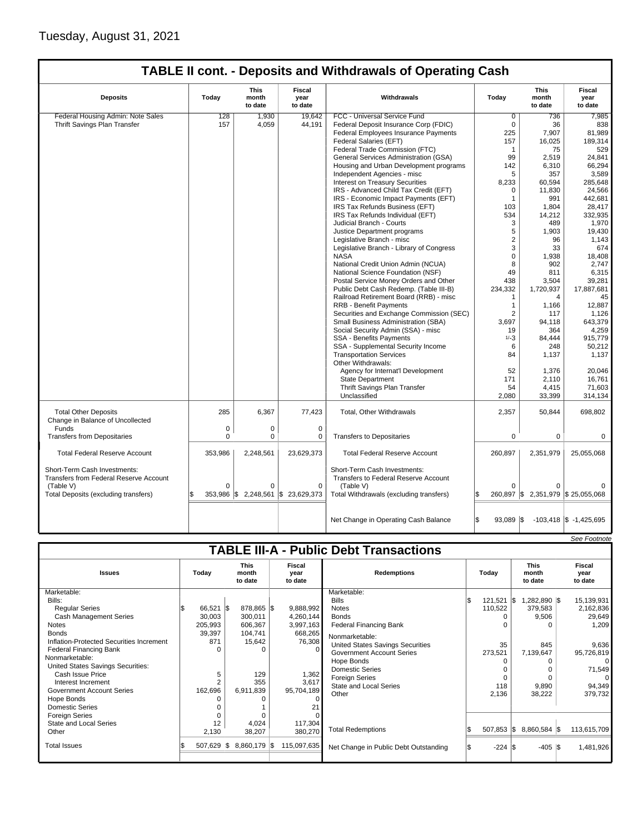|                                        |             |                          |                           | <b>TABLE II cont. - Deposits and Withdrawals of Operating Cash</b> |                   |                                  |                            |
|----------------------------------------|-------------|--------------------------|---------------------------|--------------------------------------------------------------------|-------------------|----------------------------------|----------------------------|
| <b>Deposits</b>                        | Today       | This<br>month<br>to date | Fiscal<br>year<br>to date | Withdrawals                                                        | Today             | This<br>month<br>to date         | Fiscal<br>year<br>to date  |
| Federal Housing Admin: Note Sales      | 128         | 1,930                    | 19,642                    | FCC - Universal Service Fund                                       | 0                 | 736                              | 7,985                      |
| Thrift Savings Plan Transfer           | 157         | 4,059                    | 44.191                    | Federal Deposit Insurance Corp (FDIC)                              | $\mathbf 0$       | 36                               | 838                        |
|                                        |             |                          |                           | Federal Employees Insurance Payments                               | 225               | 7,907                            | 81,989                     |
|                                        |             |                          |                           | Federal Salaries (EFT)                                             | 157               | 16,025                           | 189,314                    |
|                                        |             |                          |                           | Federal Trade Commission (FTC)                                     | 1                 | 75                               | 529                        |
|                                        |             |                          |                           | General Services Administration (GSA)                              | 99                | 2,519                            | 24.841                     |
|                                        |             |                          |                           | Housing and Urban Development programs                             | 142               | 6,310                            | 66,294                     |
|                                        |             |                          |                           | Independent Agencies - misc                                        | 5                 | 357                              | 3,589                      |
|                                        |             |                          |                           | <b>Interest on Treasury Securities</b>                             | 8,233             | 60,594                           | 285,648                    |
|                                        |             |                          |                           | IRS - Advanced Child Tax Credit (EFT)                              | $\Omega$          | 11,830                           | 24,566                     |
|                                        |             |                          |                           | IRS - Economic Impact Payments (EFT)                               | $\mathbf{1}$      | 991                              | 442,681                    |
|                                        |             |                          |                           | IRS Tax Refunds Business (EFT)                                     | 103               | 1,804                            | 28,417                     |
|                                        |             |                          |                           | IRS Tax Refunds Individual (EFT)                                   | 534               | 14,212                           | 332,935                    |
|                                        |             |                          |                           | Judicial Branch - Courts                                           | 3                 | 489                              | 1,970                      |
|                                        |             |                          |                           | Justice Department programs                                        | 5                 | 1,903                            | 19,430                     |
|                                        |             |                          |                           | Legislative Branch - misc                                          | $\overline{2}$    | 96                               | 1,143                      |
|                                        |             |                          |                           | Legislative Branch - Library of Congress                           | 3                 | 33                               | 674                        |
|                                        |             |                          |                           | <b>NASA</b>                                                        | $\mathbf 0$       | 1,938                            | 18,408                     |
|                                        |             |                          |                           | National Credit Union Admin (NCUA)                                 | 8                 | 902                              | 2,747                      |
|                                        |             |                          |                           | National Science Foundation (NSF)                                  | 49                | 811                              | 6,315                      |
|                                        |             |                          |                           | Postal Service Money Orders and Other                              | 438               | 3.504                            | 39,281                     |
|                                        |             |                          |                           | Public Debt Cash Redemp. (Table III-B)                             | 234,332           | 1,720,937                        | 17,887,681                 |
|                                        |             |                          |                           | Railroad Retirement Board (RRB) - misc                             | $\mathbf{1}$      | $\overline{4}$                   | 45                         |
|                                        |             |                          |                           | <b>RRB - Benefit Payments</b>                                      | $\mathbf{1}$      | 1,166                            | 12,887                     |
|                                        |             |                          |                           | Securities and Exchange Commission (SEC)                           | $\overline{2}$    | 117                              | 1,126                      |
|                                        |             |                          |                           | Small Business Administration (SBA)                                | 3,697             | 94,118                           | 643,379                    |
|                                        |             |                          |                           | Social Security Admin (SSA) - misc                                 | 19                | 364                              | 4,259                      |
|                                        |             |                          |                           | SSA - Benefits Payments                                            | $1/-3$            | 84,444                           | 915,779                    |
|                                        |             |                          |                           | SSA - Supplemental Security Income                                 | 6                 | 248                              | 50,212                     |
|                                        |             |                          |                           | <b>Transportation Services</b>                                     | 84                | 1,137                            | 1,137                      |
|                                        |             |                          |                           | Other Withdrawals:                                                 |                   |                                  |                            |
|                                        |             |                          |                           | Agency for Internat'l Development                                  | 52                | 1,376                            | 20,046                     |
|                                        |             |                          |                           | <b>State Department</b>                                            | 171               | 2,110                            | 16,761                     |
|                                        |             |                          |                           | Thrift Savings Plan Transfer                                       | 54                | 4,415                            | 71,603                     |
|                                        |             |                          |                           | Unclassified                                                       | 2,080             | 33,399                           | 314,134                    |
|                                        |             |                          |                           |                                                                    |                   |                                  |                            |
| <b>Total Other Deposits</b>            | 285         | 6,367                    | 77,423                    | Total, Other Withdrawals                                           | 2,357             | 50,844                           | 698,802                    |
| Change in Balance of Uncollected       |             |                          |                           |                                                                    |                   |                                  |                            |
| Funds                                  | $\mathsf 0$ | 0                        | 0                         |                                                                    |                   |                                  |                            |
| <b>Transfers from Depositaries</b>     | $\Omega$    | $\Omega$                 | 0                         | <b>Transfers to Depositaries</b>                                   | $\Omega$          | $\Omega$                         | $\Omega$                   |
|                                        |             |                          |                           |                                                                    |                   |                                  |                            |
| <b>Total Federal Reserve Account</b>   | 353,986     | 2,248,561                | 23,629,373                | <b>Total Federal Reserve Account</b>                               | 260,897           | 2,351,979                        | 25,055,068                 |
|                                        |             |                          |                           |                                                                    |                   |                                  |                            |
| Short-Term Cash Investments:           |             |                          |                           | Short-Term Cash Investments:                                       |                   |                                  |                            |
| Transfers from Federal Reserve Account |             |                          |                           | <b>Transfers to Federal Reserve Account</b>                        |                   |                                  |                            |
| (Table V)                              | $\Omega$    | $\Omega$                 | 0                         | (Table V)                                                          | $\Omega$          | O                                |                            |
| Total Deposits (excluding transfers)   | ß.          | 353,986 \$ 2,248,561     | \$23,629,373              | Total Withdrawals (excluding transfers)                            | \$                | 260,897 \$2,351,979 \$25,055,068 |                            |
|                                        |             |                          |                           |                                                                    |                   |                                  |                            |
|                                        |             |                          |                           |                                                                    |                   |                                  |                            |
|                                        |             |                          |                           | Net Change in Operating Cash Balance                               | \$<br>$93,089$ \$ |                                  | $-103,418$ \$ $-1,425,695$ |
|                                        |             |                          |                           |                                                                    |                   |                                  |                            |

|                                          |           |     |                                 |                           |                                               |       |                       |                   | See Footnote |  |  |  |  |  |  |  |  |  |  |  |  |  |  |  |  |  |  |  |  |  |  |  |  |  |  |  |  |  |  |  |  |  |  |  |  |  |  |  |  |  |  |  |  |  |  |  |  |  |  |  |  |  |  |  |  |  |  |                                 |                           |
|------------------------------------------|-----------|-----|---------------------------------|---------------------------|-----------------------------------------------|-------|-----------------------|-------------------|--------------|--|--|--|--|--|--|--|--|--|--|--|--|--|--|--|--|--|--|--|--|--|--|--|--|--|--|--|--|--|--|--|--|--|--|--|--|--|--|--|--|--|--|--|--|--|--|--|--|--|--|--|--|--|--|--|--|--|--|---------------------------------|---------------------------|
|                                          |           |     |                                 |                           | <b>TABLE III-A - Public Debt Transactions</b> |       |                       |                   |              |  |  |  |  |  |  |  |  |  |  |  |  |  |  |  |  |  |  |  |  |  |  |  |  |  |  |  |  |  |  |  |  |  |  |  |  |  |  |  |  |  |  |  |  |  |  |  |  |  |  |  |  |  |  |  |  |  |  |                                 |                           |
| <b>Issues</b>                            | Todav     |     | <b>This</b><br>month<br>to date | Fiscal<br>year<br>to date | <b>Redemptions</b>                            | Todav |                       |                   |              |  |  |  |  |  |  |  |  |  |  |  |  |  |  |  |  |  |  |  |  |  |  |  |  |  |  |  |  |  |  |  |  |  |  |  |  |  |  |  |  |  |  |  |  |  |  |  |  |  |  |  |  |  |  |  |  |  |  | <b>This</b><br>month<br>to date | Fiscal<br>year<br>to date |
| Marketable:                              |           |     |                                 |                           | Marketable:                                   |       |                       |                   |              |  |  |  |  |  |  |  |  |  |  |  |  |  |  |  |  |  |  |  |  |  |  |  |  |  |  |  |  |  |  |  |  |  |  |  |  |  |  |  |  |  |  |  |  |  |  |  |  |  |  |  |  |  |  |  |  |  |  |                                 |                           |
| Bills:                                   |           |     |                                 |                           | <b>Bills</b>                                  | ß.    | $121,521$ \$          | $.282.890$ \$     | 15,139,931   |  |  |  |  |  |  |  |  |  |  |  |  |  |  |  |  |  |  |  |  |  |  |  |  |  |  |  |  |  |  |  |  |  |  |  |  |  |  |  |  |  |  |  |  |  |  |  |  |  |  |  |  |  |  |  |  |  |  |                                 |                           |
| <b>Regular Series</b>                    | 66,521 \$ |     | 878,865 \$                      | 9,888,992                 | <b>Notes</b>                                  |       | 110,522               | 379,583           | 2,162,836    |  |  |  |  |  |  |  |  |  |  |  |  |  |  |  |  |  |  |  |  |  |  |  |  |  |  |  |  |  |  |  |  |  |  |  |  |  |  |  |  |  |  |  |  |  |  |  |  |  |  |  |  |  |  |  |  |  |  |                                 |                           |
| <b>Cash Management Series</b>            | 30,003    |     | 300,011                         | 4,260,144                 | <b>Bonds</b>                                  |       |                       | 9,506             | 29,649       |  |  |  |  |  |  |  |  |  |  |  |  |  |  |  |  |  |  |  |  |  |  |  |  |  |  |  |  |  |  |  |  |  |  |  |  |  |  |  |  |  |  |  |  |  |  |  |  |  |  |  |  |  |  |  |  |  |  |                                 |                           |
| <b>Notes</b>                             | 205,993   |     | 606,367                         | 3,997,163                 | <b>Federal Financing Bank</b>                 |       |                       |                   | 1,209        |  |  |  |  |  |  |  |  |  |  |  |  |  |  |  |  |  |  |  |  |  |  |  |  |  |  |  |  |  |  |  |  |  |  |  |  |  |  |  |  |  |  |  |  |  |  |  |  |  |  |  |  |  |  |  |  |  |  |                                 |                           |
| <b>Bonds</b>                             | 39,397    |     | 104,741                         | 668,265                   | Nonmarketable:                                |       |                       |                   |              |  |  |  |  |  |  |  |  |  |  |  |  |  |  |  |  |  |  |  |  |  |  |  |  |  |  |  |  |  |  |  |  |  |  |  |  |  |  |  |  |  |  |  |  |  |  |  |  |  |  |  |  |  |  |  |  |  |  |                                 |                           |
| Inflation-Protected Securities Increment | 871       |     | 15,642                          | 76,308                    | United States Savings Securities              |       | 35                    | 845               | 9,636        |  |  |  |  |  |  |  |  |  |  |  |  |  |  |  |  |  |  |  |  |  |  |  |  |  |  |  |  |  |  |  |  |  |  |  |  |  |  |  |  |  |  |  |  |  |  |  |  |  |  |  |  |  |  |  |  |  |  |                                 |                           |
| <b>Federal Financing Bank</b>            |           |     |                                 |                           | <b>Government Account Series</b>              |       | 273,521               | 7,139,647         | 95,726,819   |  |  |  |  |  |  |  |  |  |  |  |  |  |  |  |  |  |  |  |  |  |  |  |  |  |  |  |  |  |  |  |  |  |  |  |  |  |  |  |  |  |  |  |  |  |  |  |  |  |  |  |  |  |  |  |  |  |  |                                 |                           |
| Nonmarketable:                           |           |     |                                 |                           | Hope Bonds                                    |       |                       |                   | 0            |  |  |  |  |  |  |  |  |  |  |  |  |  |  |  |  |  |  |  |  |  |  |  |  |  |  |  |  |  |  |  |  |  |  |  |  |  |  |  |  |  |  |  |  |  |  |  |  |  |  |  |  |  |  |  |  |  |  |                                 |                           |
| United States Savings Securities:        |           |     |                                 |                           | <b>Domestic Series</b>                        |       |                       |                   | 71,549       |  |  |  |  |  |  |  |  |  |  |  |  |  |  |  |  |  |  |  |  |  |  |  |  |  |  |  |  |  |  |  |  |  |  |  |  |  |  |  |  |  |  |  |  |  |  |  |  |  |  |  |  |  |  |  |  |  |  |                                 |                           |
| Cash Issue Price                         | 5         |     | 129                             | 1,362                     | <b>Foreign Series</b>                         |       | $\Omega$              |                   | $\Omega$     |  |  |  |  |  |  |  |  |  |  |  |  |  |  |  |  |  |  |  |  |  |  |  |  |  |  |  |  |  |  |  |  |  |  |  |  |  |  |  |  |  |  |  |  |  |  |  |  |  |  |  |  |  |  |  |  |  |  |                                 |                           |
| Interest Increment                       |           |     | 355                             | 3,617                     | <b>State and Local Series</b>                 |       | 118                   | 9,890             | 94,349       |  |  |  |  |  |  |  |  |  |  |  |  |  |  |  |  |  |  |  |  |  |  |  |  |  |  |  |  |  |  |  |  |  |  |  |  |  |  |  |  |  |  |  |  |  |  |  |  |  |  |  |  |  |  |  |  |  |  |                                 |                           |
| <b>Government Account Series</b>         | 162,696   |     | 6,911,839                       | 95,704,189                | Other                                         |       | 2,136                 | 38,222            | 379,732      |  |  |  |  |  |  |  |  |  |  |  |  |  |  |  |  |  |  |  |  |  |  |  |  |  |  |  |  |  |  |  |  |  |  |  |  |  |  |  |  |  |  |  |  |  |  |  |  |  |  |  |  |  |  |  |  |  |  |                                 |                           |
| Hope Bonds                               |           |     |                                 |                           |                                               |       |                       |                   |              |  |  |  |  |  |  |  |  |  |  |  |  |  |  |  |  |  |  |  |  |  |  |  |  |  |  |  |  |  |  |  |  |  |  |  |  |  |  |  |  |  |  |  |  |  |  |  |  |  |  |  |  |  |  |  |  |  |  |                                 |                           |
| <b>Domestic Series</b>                   |           |     |                                 |                           |                                               |       |                       |                   |              |  |  |  |  |  |  |  |  |  |  |  |  |  |  |  |  |  |  |  |  |  |  |  |  |  |  |  |  |  |  |  |  |  |  |  |  |  |  |  |  |  |  |  |  |  |  |  |  |  |  |  |  |  |  |  |  |  |  |                                 |                           |
| <b>Foreign Series</b>                    |           |     |                                 |                           |                                               |       |                       |                   |              |  |  |  |  |  |  |  |  |  |  |  |  |  |  |  |  |  |  |  |  |  |  |  |  |  |  |  |  |  |  |  |  |  |  |  |  |  |  |  |  |  |  |  |  |  |  |  |  |  |  |  |  |  |  |  |  |  |  |                                 |                           |
| <b>State and Local Series</b>            | 12        |     | 4,024                           | 117,304                   |                                               |       |                       |                   |              |  |  |  |  |  |  |  |  |  |  |  |  |  |  |  |  |  |  |  |  |  |  |  |  |  |  |  |  |  |  |  |  |  |  |  |  |  |  |  |  |  |  |  |  |  |  |  |  |  |  |  |  |  |  |  |  |  |  |                                 |                           |
| Other                                    | 2,130     |     | 38,207                          | 380,270                   | <b>Total Redemptions</b>                      |       | $507,853$ $\sqrt{\$}$ | 8,860,584 \$      | 113,615,709  |  |  |  |  |  |  |  |  |  |  |  |  |  |  |  |  |  |  |  |  |  |  |  |  |  |  |  |  |  |  |  |  |  |  |  |  |  |  |  |  |  |  |  |  |  |  |  |  |  |  |  |  |  |  |  |  |  |  |                                 |                           |
| <b>Total Issues</b>                      | 507,629   | 1\$ | 8,860,179 \$                    | 115,097,635               | Net Change in Public Debt Outstanding         |       | $-224$ $\sqrt{5}$     | $-405$ $\sqrt{3}$ | 1,481,926    |  |  |  |  |  |  |  |  |  |  |  |  |  |  |  |  |  |  |  |  |  |  |  |  |  |  |  |  |  |  |  |  |  |  |  |  |  |  |  |  |  |  |  |  |  |  |  |  |  |  |  |  |  |  |  |  |  |  |                                 |                           |
|                                          |           |     |                                 |                           |                                               |       |                       |                   |              |  |  |  |  |  |  |  |  |  |  |  |  |  |  |  |  |  |  |  |  |  |  |  |  |  |  |  |  |  |  |  |  |  |  |  |  |  |  |  |  |  |  |  |  |  |  |  |  |  |  |  |  |  |  |  |  |  |  |                                 |                           |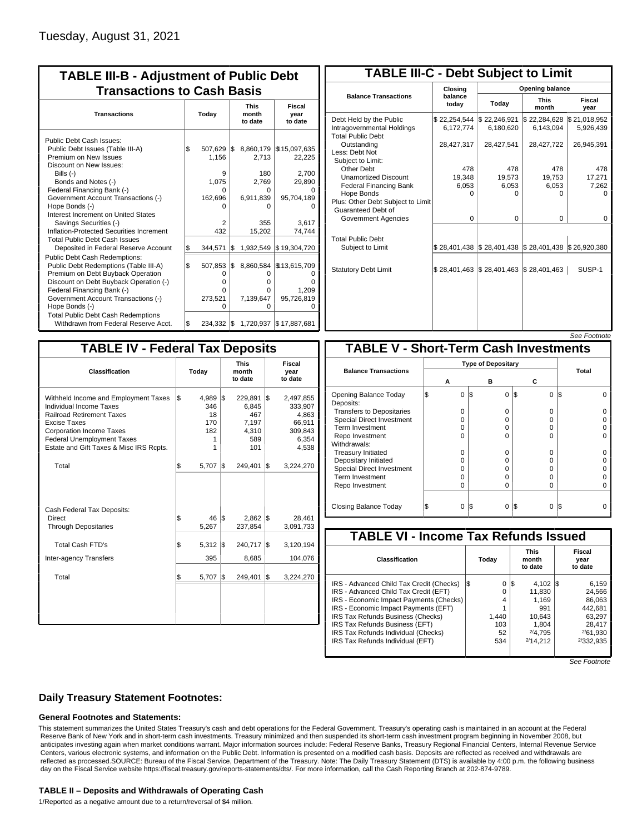| <b>TABLE III-B - Adjustment of Public Debt</b><br><b>Transactions to Cash Basis</b>                                                                                                                                                                                                                                                                                                                |           |                                                                       |            |                                                               |                                                                                       |
|----------------------------------------------------------------------------------------------------------------------------------------------------------------------------------------------------------------------------------------------------------------------------------------------------------------------------------------------------------------------------------------------------|-----------|-----------------------------------------------------------------------|------------|---------------------------------------------------------------|---------------------------------------------------------------------------------------|
| <b>Transactions</b>                                                                                                                                                                                                                                                                                                                                                                                |           | Today                                                                 |            | <b>This</b><br>month<br>to date                               | Fiscal<br>year<br>to date                                                             |
| Public Debt Cash Issues:<br>Public Debt Issues (Table III-A)<br>Premium on New Issues<br>Discount on New Issues:<br>Bills $(-)$<br>Bonds and Notes (-)<br>Federal Financing Bank (-)<br>Government Account Transactions (-)<br>Hope Bonds (-)<br>Interest Increment on United States<br>Savings Securities (-)<br>Inflation-Protected Securities Increment<br><b>Total Public Debt Cash Issues</b> | Ι\$       | 507,629<br>1.156<br>9<br>1.075<br>U<br>162,696<br>2<br>432<br>344.571 | I\$        | 2,713<br>180<br>2.769<br>n<br>6,911,839<br>n<br>355<br>15,202 | 8,860,179 \\$15,097,635<br>22,225<br>2,700<br>29,890<br>95,704,189<br>3.617<br>74,744 |
| Deposited in Federal Reserve Account<br><b>Public Debt Cash Redemptions:</b><br>Public Debt Redemptions (Table III-A)<br>Premium on Debt Buyback Operation<br>Discount on Debt Buyback Operation (-)<br>Federal Financing Bank (-)<br>Government Account Transactions (-)<br>Hope Bonds (-)<br><b>Total Public Debt Cash Redemptions</b>                                                           | \$<br>l\$ | 507,853<br>0<br>$\Omega$<br>0<br>273.521<br>O                         | l\$<br>I\$ | 1,932,549<br>8,860,584<br>O<br>o<br>o<br>7,139,647<br>U       | \$19,304,720<br>\$13,615,709<br>n<br>1,209<br>95,726,819                              |
| Withdrawn from Federal Reserve Acct.                                                                                                                                                                                                                                                                                                                                                               | \$        | $234,332$ \$                                                          |            |                                                               | 1,720,937 \$17,887,681                                                                |

| <b>TABLE III-C - Debt Subject to Limit</b>                                        |                                          |                                                                            |                           |                           |
|-----------------------------------------------------------------------------------|------------------------------------------|----------------------------------------------------------------------------|---------------------------|---------------------------|
|                                                                                   | Closing                                  |                                                                            | Opening balance           |                           |
| <b>Balance Transactions</b>                                                       | balance<br>todav                         | Today                                                                      | <b>This</b><br>month      | Fiscal<br>year            |
| Debt Held by the Public<br>Intragovernmental Holdings<br><b>Total Public Debt</b> | \$22,254,544   \$22,246,921<br>6,172,774 | 6,180,620                                                                  | \$22,284,628<br>6,143,094 | \$21,018,952<br>5,926,439 |
| Outstanding<br>Less: Debt Not<br>Subject to Limit:                                | 28,427,317                               | 28,427,541                                                                 | 28,427,722                | 26,945,391                |
| Other Debt                                                                        | 478                                      | 478                                                                        | 478                       | 478                       |
| <b>Unamortized Discount</b>                                                       | 19,348                                   | 19,573                                                                     | 19,753                    | 17,271                    |
| <b>Federal Financing Bank</b>                                                     | 6,053                                    | 6,053                                                                      | 6,053                     | 7,262                     |
| Hope Bonds<br>Plus: Other Debt Subject to Limit<br>Guaranteed Debt of             | O                                        | O                                                                          | 0                         | O                         |
| Government Agencies                                                               | $\Omega$                                 | $\Omega$                                                                   | $\Omega$                  | 0                         |
| <b>Total Public Debt</b><br>Subject to Limit                                      |                                          | \$28,401,438   \$28,401,438   \$28,401,438   \$26,920,380                  |                           |                           |
| <b>Statutory Debt Limit</b>                                                       |                                          | $\frac{1}{2}$ 28,401,463 $\frac{1}{2}$ 28,401,463 $\frac{1}{2}$ 28,401,463 |                           | SUSP-1                    |
|                                                                                   |                                          |                                                                            |                           |                           |

|--|

| <b>TABLE IV - Federal Tax Deposits</b>                                                                                                                                                                                                        |          |                                            |     |                                                         |     |                                                                      |
|-----------------------------------------------------------------------------------------------------------------------------------------------------------------------------------------------------------------------------------------------|----------|--------------------------------------------|-----|---------------------------------------------------------|-----|----------------------------------------------------------------------|
| <b>Classification</b>                                                                                                                                                                                                                         |          | Today                                      |     | <b>This</b><br>month<br>to date                         |     | <b>Fiscal</b><br>year<br>to date                                     |
| Withheld Income and Employment Taxes<br>Individual Income Taxes<br><b>Railroad Retirement Taxes</b><br><b>Excise Taxes</b><br><b>Corporation Income Taxes</b><br><b>Federal Unemployment Taxes</b><br>Estate and Gift Taxes & Misc IRS Rcpts. | \$       | 4.989<br>346<br>18<br>170<br>182<br>1<br>1 | 1\$ | 229,891<br>6,845<br>467<br>7,197<br>4,310<br>589<br>101 | l\$ | 2,497,855<br>333,907<br>4,863<br>66,911<br>309,843<br>6,354<br>4,538 |
| Total                                                                                                                                                                                                                                         | \$       | 5,707                                      | 1\$ | 249,401                                                 | 1\$ | 3,224,270                                                            |
| Cash Federal Tax Deposits:<br><b>Direct</b><br><b>Through Depositaries</b>                                                                                                                                                                    | \$       | 46<br>5,267                                | l\$ | $2,862$ \$<br>237,854                                   |     | 28,461<br>3,091,733                                                  |
| <b>Total Cash FTD's</b><br>Inter-agency Transfers                                                                                                                                                                                             | <b>S</b> | 5,312<br>395                               | 1\$ | 240,717<br>8,685                                        | 1\$ | 3,120,194<br>104,076                                                 |
| Total                                                                                                                                                                                                                                         | l\$      | $5,707$ \\$                                |     | 249.401                                                 | l\$ | 3,224,270                                                            |
|                                                                                                                                                                                                                                               |          |                                            |     |                                                         |     |                                                                      |
|                                                                                                                                                                                                                                               |          |                                            |     |                                                         |     |                                                                      |

|                                              |   |   |     |          |     |   | <i><b>JEE FUULIUIE</b></i> |  |
|----------------------------------------------|---|---|-----|----------|-----|---|----------------------------|--|
| <b>TABLE V - Short-Term Cash Investments</b> |   |   |     |          |     |   |                            |  |
| <b>Type of Depositary</b>                    |   |   |     |          |     |   |                            |  |
| <b>Balance Transactions</b>                  |   | А |     | в        | С   |   | <b>Total</b>               |  |
| Opening Balance Today<br>Deposits:           | S | 0 | 1\$ | $\Omega$ | 1\$ | 0 | l\$                        |  |
| <b>Transfers to Depositaries</b>             |   | O |     | 0        |     | 0 |                            |  |
| <b>Special Direct Investment</b>             |   | O |     | 0        |     | 0 |                            |  |
| Term Investment                              |   | O |     | 0        |     | 0 |                            |  |
| Repo Investment                              |   | O |     | $\Omega$ |     | 0 |                            |  |
| Withdrawals:                                 |   |   |     |          |     |   |                            |  |
| <b>Treasury Initiated</b>                    |   | O |     | 0        |     | O |                            |  |
| Depositary Initiated                         |   | O |     | 0        |     | 0 |                            |  |
| <b>Special Direct Investment</b>             |   | Ω |     | 0        |     | 0 |                            |  |
| <b>Term Investment</b>                       |   | O |     | 0        |     | O |                            |  |
| Repo Investment                              |   | O |     | 0        |     | 0 |                            |  |
| Closing Balance Today                        |   | 0 | l\$ | 0        | I\$ | 0 | I\$                        |  |

| <b>TABLE VI - Income Tax Refunds Issued</b> |          |     |                                 |  |                           |  |  |  |  |  |  |
|---------------------------------------------|----------|-----|---------------------------------|--|---------------------------|--|--|--|--|--|--|
| Classification                              | Today    |     | <b>This</b><br>month<br>to date |  | Fiscal<br>year<br>to date |  |  |  |  |  |  |
| IRS - Advanced Child Tax Credit (Checks)    | 0<br>I\$ | 1\$ | $4.102$ S                       |  | 6,159                     |  |  |  |  |  |  |
| IRS - Advanced Child Tax Credit (EFT)       | 0        |     | 11.830                          |  | 24.566                    |  |  |  |  |  |  |
| IRS - Economic Impact Payments (Checks)     | 4        |     | 1.169                           |  | 86.063                    |  |  |  |  |  |  |
| IRS - Economic Impact Payments (EFT)        |          |     | 991                             |  | 442,681                   |  |  |  |  |  |  |
| IRS Tax Refunds Business (Checks)           | 1.440    |     | 10.643                          |  | 63.297                    |  |  |  |  |  |  |
| IRS Tax Refunds Business (EFT)              | 103      |     | 1,804                           |  | 28,417                    |  |  |  |  |  |  |
| IRS Tax Refunds Individual (Checks)         | 52       |     | 2/4.795                         |  | 2/61.930                  |  |  |  |  |  |  |
| IRS Tax Refunds Individual (EFT)            | 534      |     | 2/14.212                        |  | 2/332,935                 |  |  |  |  |  |  |
|                                             |          |     |                                 |  |                           |  |  |  |  |  |  |

See Footnote

## **Daily Treasury Statement Footnotes:**

### **General Footnotes and Statements:**

This statement summarizes the United States Treasury's cash and debt operations for the Federal Government. Treasury's operating cash is maintained in an account at the Federal Reserve Bank of New York and in short-term cash investments. Treasury minimized and then suspended its short-term cash investment program beginning in November 2008, but anticipates investing again when market conditions warrant. Major information sources include: Federal Reserve Banks, Treasury Regional Financial Centers, Internal Revenue Service Centers, various electronic systems, and information on the Public Debt. Information is presented on a modified cash basis. Deposits are reflected as received and withdrawals are reflected as processed.SOURCE: Bureau of the Fiscal Service, Department of the Treasury. Note: The Daily Treasury Statement (DTS) is available by 4:00 p.m. the following business day on the Fiscal Service website https://fiscal.treasury.gov/reports-statements/dts/. For more information, call the Cash Reporting Branch at 202-874-9789.

#### **TABLE II – Deposits and Withdrawals of Operating Cash**

1/Reported as a negative amount due to a return/reversal of \$4 million.